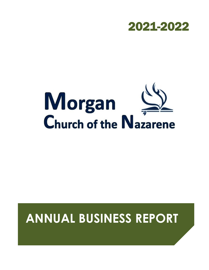

# Morgan<br>Church of the Nazarene

# **ANNUAL BUSINESS REPORT**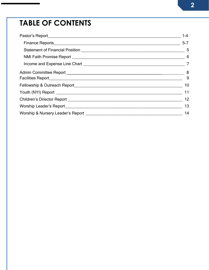# **TABLE OF CONTENTS**

| $1 - 4$                                                                                                                                                                                                                                   |
|-------------------------------------------------------------------------------------------------------------------------------------------------------------------------------------------------------------------------------------------|
|                                                                                                                                                                                                                                           |
|                                                                                                                                                                                                                                           |
|                                                                                                                                                                                                                                           |
|                                                                                                                                                                                                                                           |
|                                                                                                                                                                                                                                           |
|                                                                                                                                                                                                                                           |
| 10                                                                                                                                                                                                                                        |
|                                                                                                                                                                                                                                           |
| 12                                                                                                                                                                                                                                        |
| 13                                                                                                                                                                                                                                        |
| 14<br>Worship & Nursery Leader's Report <b>Manual Access 2018</b> Nurser Control and Tennis and Tennis and Tennis and Tennis and Tennis and Tennis and Tennis and Tennis and Tennis and Tennis and Tennis and Tennis and Tennis and Tenni |
|                                                                                                                                                                                                                                           |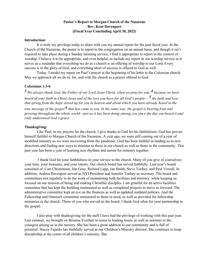# **Pastor's Report to Morgan Church of the Nazarene Rev. Kent Davenport (Fiscal Year Concluding April 30, 2022)**

### **Introduction:**

It is truly my privilege today to share with you my annual report for the past fiscal year. In the Church of the Nazarene, the pastor is to report to the congregation on an annual basis, and though it isn't required to take place during a Sunday morning service, I find it appropriate to report in the context of worship. I believe it to be appropriate, and even helpful, to include my report in our worship service as it serves as a reminder that everything we do as a church is an offering of worship to our Lord. Every success is to the glory of God, and everything short of success is offered to God as well.

Today, I model my report on Paul's prayer in the beginning of his letter to the Colossian church. May we approach all we do in, for, and with the church as a prayer offered to God.

## **Colossians 1:3-6**

 $3$  We always thank God, the Father of our Lord Jesus Christ, when we pray for you,  $4$  because we have *heard of your faith in Christ Jesus and of the love you have for all God's people— 5 the faith and love that spring from the hope stored up for you in heaven and about which you have already heard in the* 

*true message of the gospel 6 that has come to you. In the same way, the gospel is bearing fruit and growing throughout the whole world—just as it has been doing among you since the day you heard it and truly understood God's grace.*

### **Thanksgiving:**

Like Paul, in my prayers for the church, I give thanks to God for his faithfulness. God has proven himself faithful to Morgan Church of the Nazarene. A year ago, we were still coming out of a year of modified ministry as we were recovering from the pandemic. God has been faithful in leading us in new directions and finding new ways to minister to those in our church as well as those in the community. This past year has been a year of learning new rhythms and norms for ministry together.

I thank God for your faithfulness in your service to the church. Many of you give of yourselves; your time, your treasures, and your talents. Our church board has served faithfully. Last year's board consisted of: Curt Christensen, Jim Goss, Richard Lapp, Jan Smith, Steve Toohey, and Paul Vowell. In addition, Andrea Davenport served as NYI President and Jennifer Toohey as secretary. The board and committees met regularly to do the work of maintaining both facilities and ministry, while keeping us focused on our mission of being and making Christlike disciples. I am grateful for an active facilities committee that has kept the building maintained as well as completed projects to move us forward. The administrative committee kept an eye on the finances as well as updated outdated policies. And the Fellowship and Outreach committee ministered to those in need, as well as provided for fellowship ministries in the church. Those of you who served on the board, I thank God often for your partnership in the gospel.

I also pray with thanksgiving for the staff I have had the privilege of working with this past year. Last summer, we brought on Brianna Everhart to assist in leading music as well as minister to the youngest among us in the nursery. She has been a great addition to our community and is full of potential. Stacey Fajardo has faithfully served as our Children's Ministry director. She continues to keep discipleship at the center of all children's ministry. She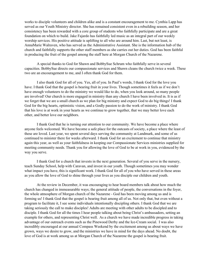works to disciple volunteers and children alike and is a constant encouragement to me. Cynthia Lapp has served as our Youth Ministry director. She has remained consistent even in a rebuilding season, and her consistency has been rewarded with a core group of students who faithfully participate and are a great foundation on which to build. Jake Fajardo has faithfully led music as an integral part of our weekly worship services. His positive attitude is uplifting to all who are around him. Last, but not least, is AnnaMarie Walraven, who has served as the Administrative Assistant. She is the information hub of the church and faithfully supports the other staff members as she carries out her duties. God has been faithful in producing the fruit of the gospel among the staff here at Morgan Church of the Nazarene.

A special thanks to God for Shawn and BobbySue Schrum who faithfully serve in several capacities. BobbySue directs our compassionate services and Shawn cleans the church twice a week. These two are an encouragement to me, and I often thank God for them.

I also thank God for all of you. Yes, all of you. In Paul's words, I thank God for the love you have. I thank God that the gospel is bearing fruit in your lives. Though sometimes it feels as if we don't have enough volunteers to do the ministry we would like to do, when you look around, so many people are involved! Our church is more engaged in ministry than any church I have been involved in. It is as if we forget that we are a small church as we plan for big ministry and expect God to do big things! I thank God for the big hearts, optimistic vision, and a Godly passion to do the work of ministry. I thank God that his love is at work in your hearts as we continue to grow together, that we may better love each other, and better love our neighbors.

I thank God that he is turning our attention to our community. We have become a place where anyone feels welcomed. We have become a safe place for the outcasts of society, a place where the least of these are loved. Last year, we spent several days serving the community at Landmark, and some of us continued to minister there for weeks afterward. I thank God for an excitement to continue that ministry again this year, as well as your faithfulness in keeping our Compassionate Services ministries supplied for meeting community needs. Thank you for allowing the love of God to be at work in you, evidenced by the way you serve.

I thank God for a church that invests in the next generation. Several of you serve in the nursery, teach Sunday School, help with Caravan, and invest in our youth. Though sometimes you may wonder what impact you have, this is significant work. I thank God for all of you who have served in these areas as you allow the love of God to shine through your lives as you disciple our children and youth.

At the review in December, it was encouraging to hear board members talk about how much the church has changed in immeasurable ways; the general attitude of people, the conversations in the foyer, the whole atmosphere of Morgan church of the Nazarene - God has been moving among us and is forming us! I thank God that the gospel is bearing fruit among all of us. Not only that, but even without a program to facilitate it, I see some individuals intentionally discipling others. I thank God that we are taking seriously the call to make disciples! Adults are meeting with other adults to be discipled and to disciple. I thank God for all the times I hear people talking about being Christ's ambassadors, setting an example for others, and representing Christ well. As a church we have made incredible progress in taking advantage of our outreach events such as the Pinewood Derby and the Ice-Cream social. I was also incredibly encouraged at our annual Compass Weekend by the excitement among us about ways we have grown, ways we desire to grow, and the ministries we have in mind for the days ahead. No doubt, the love of God is at work among us at Morgan Church of the Nazarene the gospel is bearing fruit.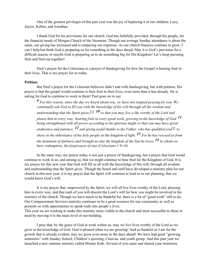One of the greatest privileges of this past year was the joy of baptizing 4 of our children: Lucy, Jaycie, Kellen, and Jonathan.

I thank God for his provisions for our church. God has faithfully provided, through his people, for the financial needs of Morgan Church of the Nazarene. Though our average Sunday attendance is about the same, our giving has increased and is outpacing our expenses. As our church finances continue to grow, I can't help but think God is preparing us for something in the days ahead; May it is God's provision for a difficult season, or maybe God is preparing us to do something big for His Kingdom! Let's keep pursuing Him and find out together!

Paul's prayer for the Colossians is a prayer of thanksgiving for how the Gospel is bearing fruit in their lives. That is my prayer for us today.

#### **Petition:**

But Paul's prayer for the Colossian believers didn't end with thanksgiving, but with petition. His prayer is that the gospel would continue to bear fruit in their lives, even more than it has already. He is asking for God to continue to work in them! Paul goes on to say:

*9 For this reason, since the day we heard about you, we have not stopped praying for you. We continually ask God to fill you with the knowledge of his will through all the wisdom and understanding that the Spirit gives[,\[e\]](https://www.biblegateway.com/passage/?search=colossians%2B1&version=NIV&fen-NIV-29475e) 10 so that you may live a life worthy of the Lord and please him in every way: bearing fruit in every good work, growing in the knowledge of God, 11 being strengthened with all power according to his glorious might so that you may have great endurance and patience, 12 and giving joyful thanks to the Father, who has qualified yo[u\[f\]](https://www.biblegateway.com/passage/?search=colossians%2B1&version=NIV&fen-NIV-29478f) to share in the inheritance of his holy people in the kingdom of light. 13 For he has rescued us from the dominion of darkness and brought us into the kingdom of the Son he loves, 14 in whom we have redemption, the forgiveness of sins (Colossians 1:9-14)*

In the same way, my prayer today is not just a prayer of thanksgiving, but a prayer that God would continue to work in us, and among us, that we might continue to bear fruit for the Kingdom of God. It is my prayer for this new year that God will fill us all with the knowledge of His will, through all wisdom and understanding that the Spirit gives. Though the board and staff have developed a ministry plan for our church in this new year, it is my prayer that the Spirit will continue to lead us in our planning, that we would know God's will.

It is my prayer that, empowered by the Spirit, we will all live lives worthy of the Lord, pleasing him in every way, and that each of you will discern the Lord's will for how you might be involved in the ministry of the church. Though we have much to be thankful for, there is a lot of "good work" still to do. Our Compassionate Services ministry continues to be a great resource for our community as well as presents us with opportunities to speak truth into people's lives.

This year we are working to make this ministry more visible to the church and more accessible to those in need by moving it to the main level of our building.

I pray that, by the grace of God at work within us, may we live lives worthy of the Lord as we grow in the knowledge of God. God is pleased when we are growing! And as thankful as I am for the growth that is already evident, may we grow even more in the days ahead! We have had great "growing ministries" with Sunday School, Children's quizzing, Caravan, and youth group. And this past year we launched a new summer ministry called Mosaic Kids. Several of you came and shared your testimony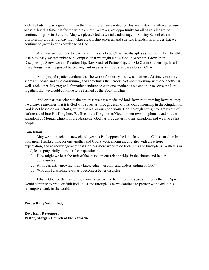with the kids. It was a great ministry that the children are excited for this year. Next month we re-launch Mosaic, but this time it is for the whole church. What a great opportunity for all of us, all ages, to continue to grow in the Lord! May we please God as we take advantage of Sunday School classes, discipleship groups, Sunday night classes, worship services, and spiritual friendships in order that we continue to grow in our knowledge of God.

And may we continue to learn what it means to be Christlike disciples as well as make Christlike disciples. May we remember our Compass, that we might Know God in Worship, Grow up in Discipleship, Show Love in Relationship, Sow Seeds of Partnership, and Go Out in Citizenship. In all these things, may the gospel be bearing fruit in us as we live as ambassadors of Christ.

And I pray for patient endurance. The work of ministry is slow sometimes. At times, ministry seems mundane and time consuming, and sometimes the hardest part about working with one another is, well, each other. My prayer is for patient endurance with one another as we continue to serve the Lord together, that we would continue to be formed as the Body of Christ.

And even as we celebrate the progress we have made and look forward to moving forward, may we always remember that it is God who saves us through Jesus Christ. Our citizenship in the Kingdom of God is not based on our efforts, our ministries, or our good work. God, through Jesus, brought us out of darkness and into His Kingdom. We live in the Kingdom of God, not our own kingdoms. And not the Kingdom of Morgan Church of the Nazarene. God has brought us into his Kingdom, and we live as his people.

#### **Conclusion:**

May we approach this new church year as Paul approached this letter to the Colossian church: with great Thanksgiving for one another and God's work among us, and also with great hope, expectation, and acknowledgement that God has more work to do both in us and through us! With this in mind, let us prayerfully consider these questions:

- 1. How might we bear the fruit of the gospel in our relationships in the church and in our community?
- 2. Am I currently growing in my knowledge, wisdom, and understanding of God?
- 3. Who am I discipling even as I become a better disciple?

I thank God for the fruit of the ministry we've had here this past year, and I pray that the Spirit would continue to produce fruit both in us and through us as we continue to partner with God in his redemptive work in the world.

#### **Respectfully Submitted,**

**Rev. Kent Davenport Pastor, Morgan Church of the Nazarene.**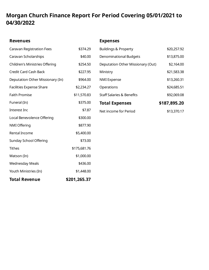# **Morgan Church Finance Report For Period Covering 05/01/2021 to 04/30/2022**

| <b>Revenues</b>                  |              | <b>Expenses</b>                      |              |
|----------------------------------|--------------|--------------------------------------|--------------|
| <b>Caravan Registration Fees</b> | \$374.29     | <b>Buildings &amp; Property</b>      | \$20,257.92  |
| Caravan Scholarships             | \$40.00      | <b>Denominational Budgets</b>        | \$13,875.00  |
| Children's Ministries Offering   | \$254.50     | Deputation Other Missionary (Out)    | \$2,164.00   |
| <b>Credit Card Cash Back</b>     | \$227.95     | Ministry                             | \$21,583.38  |
| Deputation Other Missionary (In) | \$964.00     | <b>NMI</b> Expense                   | \$13,260.31  |
| Facilities Expense Share         | \$2,234.27   | Operations                           | \$24,685.51  |
| <b>Faith Promise</b>             | \$11,570.83  | <b>Staff Salaries &amp; Benefits</b> | \$92,069.08  |
| Funeral (In)                     | \$375.00     | <b>Total Expenses</b>                | \$187,895.20 |
| Interest Inc                     | \$7.87       | Net income for Period                | \$13,370.17  |
| Local Benevolence Offering       | \$300.00     |                                      |              |
| NMI Offering                     | \$877.90     |                                      |              |
| Rental Income                    | \$5,400.00   |                                      |              |
| <b>Sunday School Offering</b>    | \$73.00      |                                      |              |
| <b>Tithes</b>                    | \$175,681.76 |                                      |              |
| Watson (In)                      | \$1,000.00   |                                      |              |
| <b>Wednesday Meals</b>           | \$436.00     |                                      |              |
| Youth Ministries (In)            | \$1,448.00   |                                      |              |
| <b>Total Revenue</b>             | \$201,265.37 |                                      |              |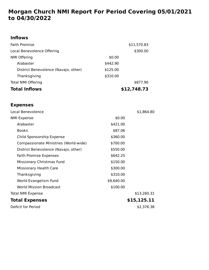# **Morgan Church NMI Report For Period Covering 05/01/2021 to 04/30/2022**

# **Inflows**

| <b>Faith Promise</b>                 | \$11,570.83 |  |
|--------------------------------------|-------------|--|
| Local Benevolence Offering           | \$300.00    |  |
| <b>NMI Offering</b>                  | \$0.00      |  |
| Alabaster                            | \$442.90    |  |
| District Benevolence (Navajo, other) | \$125.00    |  |
| Thanksgiving                         | \$310.00    |  |
| <b>Total NMI Offering</b>            | \$877.90    |  |
| <b>Total Inflows</b>                 | \$12,748.73 |  |

# **Expenses**

| Local Benevolence                     |            | \$1,864.80  |
|---------------------------------------|------------|-------------|
| <b>NMI Expense</b>                    | \$0.00     |             |
| Alabaster                             | \$421.00   |             |
| <b>Books</b>                          | \$87.06    |             |
| Child Sponsorship Expense             | \$360.00   |             |
| Compassionate Ministries (World-wide) | \$700.00   |             |
| District Benevolence (Navajo, other)  | \$550.00   |             |
| <b>Faith Promise Expenses</b>         | \$642.25   |             |
| Missionary Christmas Fund             | \$150.00   |             |
| <b>Missionary Health Care</b>         | \$300.00   |             |
| Thanksgiving                          | \$310.00   |             |
| World Evangelism Fund                 | \$9,640.00 |             |
| <b>World Mission Broadcast</b>        | \$100.00   |             |
| <b>Total NMI Expense</b>              |            | \$13,260.31 |
| <b>Total Expenses</b>                 |            | \$15,125.11 |
| Deficit for Period                    |            | \$2,376.38  |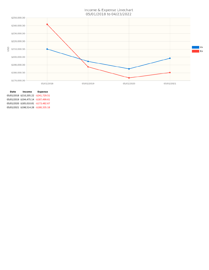Income & Expense Linechart 05/01/2018 to 04/23/2022



**Date Income Expense** 05/01/2018 \$210,205.22 -\$241,729.51 05/01/2019 \$194,475.14 -\$187,499.61 05/01/2020 \$185,010.81 -\$173,482.67 05/01/2021 \$198,514.28 -\$180,335.18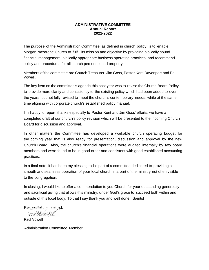# **ADMINISTRATIVE COMMITTEE Annual Report 2021-2022**

The purpose of the Administration Committee, as defined in church policy, is to enable Morgan Nazarene Church to fulfill its mission and objective by providing biblically sound financial management, biblically appropriate business operating practices, and recommend policy and procedures for all church personnel and property.

Members of the committee are Church Treasurer, Jim Goss, Pastor Kent Davenport and Paul Vowell.

The key item on the committee's agenda this past year was to revise the Church Board Policy to provide more clarity and consistency to the existing policy which had been added to over the years, but not fully revised to meet the church's contemporary needs, while at the same time aligning with corporate church's established policy manual.

I'm happy to report, thanks especially to Pastor Kent and Jim Goss' efforts, we have a completed draft of our church's policy revision which will be presented to the incoming Church Board for discussion and approval.

In other matters the Committee has developed a workable church operating budget for the coming year that is also ready for presentation, discussion and approval by the new Church Board. Also, the church's financial operations were audited internally by two board members and were found to be in good order and consistent with good established accounting practices.

In a final note, it has been my blessing to be part of a committee dedicated to providing a smooth and seamless operation of your local church in a part of the ministry not often visible to the congregation.

In closing, I would like to offer a commendation to you Church for your outstanding generosity and sacrificial giving that allows this ministry, under God's grace to succeed both within and outside of this local body. To that I say thank you and well done,. Saints!

Respectfully submitted.

adhavel

Paul Vowell

Administration Committee Member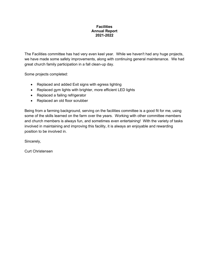# **Facilities Annual Report 2021-2022**

The Facilities committee has had very even keel year. While we haven't had any huge projects, we have made some safety improvements, along with continuing general maintenance. We had great church family participation in a fall clean-up day.

Some projects completed:

- Replaced and added Exit signs with egress lighting
- Replaced gym lights with brighter, more efficient LED lights
- Replaced a failing refrigerator
- Replaced an old floor scrubber

Being from a farming background, serving on the facilities committee is a good fit for me, using some of the skills learned on the farm over the years. Working with other committee members and church members is always fun, and sometimes even entertaining! With the variety of tasks involved in maintaining and improving this facility, it is always an enjoyable and rewarding position to be involved in.

Sincerely,

Curt Christensen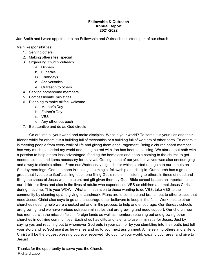# **Fellowship & Outreach Annual Report 2021-2022**

Jan Smith and I were appointed to the Fellowship and Outreach ministries part of our church.

Main Responsibilities:

- 1. Serving others
- 2. Making others feel special
- 3. Organizing church outreach
	- a. Dinners
	- b. Funerals
	- C. Birthdays
	- d. Anniversaries
	- e. Outreach to others
- 4. Serving homebound members
- 5. Compassionate ministries
- 6. Planning to make all feel welcome
	- a. Mother's Day
	- b. Father's Day
	- c. VBS
	- d. Any other outreach
- 7. Be attentive and do as God directs

Go out into all your world and make disciples. What is your world? To some it is your kids and their friends while for others it is a building full of mechanics or a building full of workers of other sorts. To others it is meeting people from every walk of life and giving them encouragement. Being a church board member has very much expanded my world and being paired with Jan has been a blessing. We started out both with a passion to help others less advantaged, feeding the homeless and people coming to the church to get needed clothes and items necessary for survival. Getting some of our youth involved was also encouraging and a way to disciple others. From our Wednesday night dinner which started up again to our donuts on Sunday mornings. God has been in it using it to mingle, fellowship and disciple. Our church has a great group that lives up to God's calling, each one filling God's role in ministering to others in times of need and filling the shoes of Jesus with the talent and gift given them by God. Bible school is such an important time in our children's lives and also in the lives of adults who experienced VBS as children and met Jesus Christ during that time. This year WOW!! What an inspiration to those wanting to do VBS, take VBS to the community by cleaning up and giving to Landmark. Plans are to continue and branch out to other places that need Jesus. Christ also says to go and encourage other believers to keep in the faith. Work trips to other churches needing help were checked out and, in the process, to help and encourage. Our Sunday schools are growing, and we have various outreach ministries that are growing and need support. Our church now has members in the mission field in foreign lands as well as members reaching out and growing other churches in outlying communities. Each of us has gifts and talents to use in ministry for Jesus. Just by saying yes and reaching out to whomever God puts in your path or by you stumbling into their path, just tell your story and let God use it as he wishes and go to your next assignment. A life serving others and a life for Christ will be the biggest blessing you ever received. Go out into your world, expand your area, and give to Jesus!

Thanks for the opportunity to serve you, the Church. Richard Lapp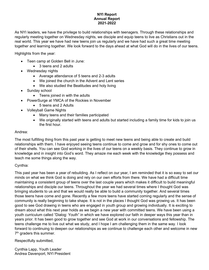# **NYI Report Annual Report 2021-2022**

As NYI leaders, we have the privilege to build relationships with teenagers. Through these relationships and regularly meeting together on Wednesday nights, we disciple and equip teens to live as Christians out in the real world. This year we have had new teens join us regularly and we have had such a great time meeting together and learning together. We look forward to the days ahead at what God will do in the lives of our teens.

Highlights from the year:

- Teen camp at Golden Bell in June:
	- 3 teens and 2 adults
- Wednesday nights
	- Average attendance of 5 teens and 2-3 adults
	- We joined the church in the Advent and Lent series
	- We also studied the Beatitudes and holy living
- Sunday school
	- Teens joined in with the adults
- PowerSurge at YMCA of the Rockies in November
	- 5 teens and 2 Adults
- Volleyball Game Nights
	- Many teens and their families participated
	- We originally started with teens and adults but started including a family time for kids to join us the first hour.

# Andrea:

The most fulfilling thing from this past year is getting to meet new teens and being able to create and build relationships with them. I have enjoyed seeing teens continue to come and grow and for shy ones to come out of their shells. You can see God working in the lives of our teens on a weekly basis. They continue to grow in knowledge and in insight into God's word. They amaze me each week with the knowledge they possess and teach me some things along the way.

# Cynthia:

This past year has been a year of rebuilding. As I reflect on our year, I am reminded that it is so easy to set our minds on what we think God is doing and rely on our own efforts from there. We have had a difficult time maintaining a consistent group of teens over the last couple years which makes it difficult to build meaningful relationships and disciple our teens. Throughout the year we had several times where I thought God was bringing students to us and that we would really be able to build a community together. And several times those teens have come and gone. Recently a few more teens have started coming regularly and the sense of community is really beginning to take shape. It is not in the places I thought God was growing us. It has been good to see God drawing in teens who are engaged in youth group and growing individually. It is exciting to dream about what this next year holds as we begin a new year with committed teens. We have been using a youth curriculum called "Dialog: Youth" in which we have explored our faith in deeper ways this year than in years prior. It has been good to grow together and see God at work in our conversations and fellowship. The teens challenge me to live out what we study, and I hope I am challenging them in the same way. I look forward to continuing to deepen our relationships as we continue to challenge each other and welcome in new  $7<sup>th</sup>$  graders this summer.

Respectfully submitted,

Cynthia Lapp, Youth Leader Andrea Davenport, NYI President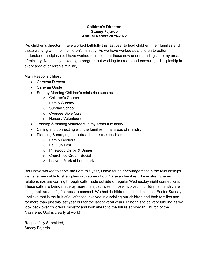# **Children's Director Stacey Fajardo Annual Report 2021-2022**

As children's director, I have worked faithfully this last year to lead children, their families and those working with me in children's ministry. As we have worked as a church to better understand discipleship, I have worked to implement those new understandings into my areas of ministry. Not simply providing a program but working to create and encourage discipleship in every area of children's ministry.

Main Responsibilities:

- Caravan Director
- Caravan Guide
- Sunday Morning Children's ministries such as
	- o Children's Church
	- o Family Sunday
	- o Sunday School
	- o Oversee Bible Quiz
	- o Nursery Volunteers
- Leading & training volunteers in my areas a ministry
- Calling and connecting with the families in my areas of ministry
- Planning & carrying out outreach ministries such as
	- o Family Cookout
	- o Fall Fun Fest
	- o Pinewood Derby & Dinner
	- o Church Ice Cream Social
	- o Leave a Mark at Landmark

As I have worked to serve the Lord this year, I have found encouragement in the relationships we have been able to strengthen with some of our Caravan families. These strengthened relationships are coming through calls made outside of regular Wednesday night connections. These calls are being made by more than just myself; those involved in children's ministry are using their areas of giftedness to connect. We had 4 children baptized this past Easter Sunday, I believe that is the fruit of all of those involved in discipling our children and their families and for more than just this last year but for the last several years. I find this to be very fulfilling as we look back over children's ministry and look ahead to the future at Morgan Church of the Nazarene. God is clearly at work!

Respectfully Submitted, Stacey Fajardo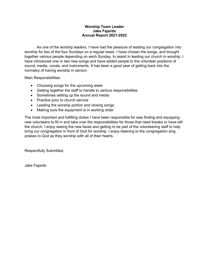# **Worship Team Leader Jake Fajardo Annual Report 2021-2022**

As one of the worship leaders, I have had the pleasure of leading our congregation into worship for two of the four Sundays on a regular basis. I have chosen the songs, and brought together various people depending on each Sunday, to assist in leading our church in worship. I have introduced one or two new songs and have added people to the volunteer positions of sound, media, vocals, and instruments. It has been a good year of getting back into the normalcy of having worship in person.

Main Responsibilities:

- Choosing songs for the upcoming week
- Getting together the staff to handle to various responsibilities
- Sometimes setting up the sound and media
- Practice prior to church service
- Leading the worship portion and closing songs
- Making sure the equipment is in working order

The most important and fulfilling duties I have been responsible for was finding and equipping new volunteers to fill in and take over the responsibilities for those that need breaks or have left the church. I enjoy seeing the new faces and getting to be part of the volunteering staff to help bring our congregation in front of God for worship. I enjoy listening to the congregation sing praises to God as they worship with all of their hearts.

Respectfully Submitted,

Jake Fajardo